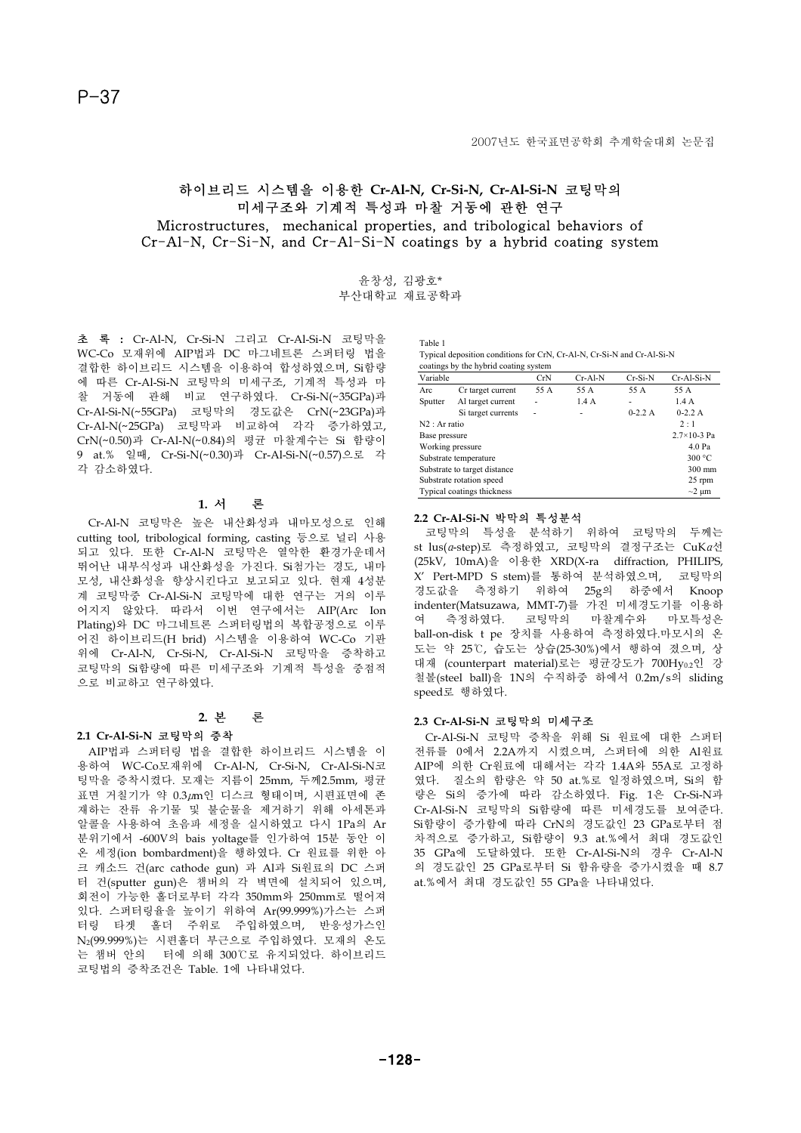## 하이브리드 시스템을 이용한 **Cr-Al-N, Cr-Si-N, Cr-Al-Si-N** 코팅막의 미세구조와 기계적 특성과 마찰 거동에 관한 연구 Microstructures, mechanical properties, and tribological behaviors of  $Cr-AI-N$ ,  $Cr-Si-N$ , and  $Cr-AI-Si-N$  coatings by a hybrid coating system

윤창성, 김광호\* 부산대학교 재료공학과

초 록 **:** Cr-Al-N, Cr-Si-N 그리고 Cr-Al-Si-N 코팅막을 WC-Co 모재위에 AIP법과 DC 마그네트론 스퍼터링 법을 결합한 하이브리드 시스템을 이용하여 합성하였으며, Si함량 에 따른 Cr-Al-Si-N 코팅막의 미세구조, 기계적 특성과 마 찰 거동에 관해 비교 연구하였다. Cr-Si-N(~35GPa)과 Cr-Al-Si-N(~55GPa) 코팅막의 경도값은 CrN(~23GPa)과 Cr-Al-N(~25GPa) 코팅막과 비교하여 각각 증가하였고, CrN(~0.50)과 Cr-Al-N(~0.84)의 평균 마찰계수는 Si 함량이 9 at.% 일때, Cr-Si-N(~0.30)과 Cr-Al-Si-N(~0.57)으로 각 각 감소하였다.

### **1.** 서 론

Cr-Al-N 코팅막은 높은 내산화성과 내마모성으로 인해 cutting tool, tribological forming, casting 등으로 널리 사용 되고 있다. 또한 Cr-Al-N 코팅막은 열악한 환경가운데서 뛰어난 내부식성과 내산화성을 가진다. Si첨가는 경도, 내마 모성, 내산화성을 향상시킨다고 보고되고 있다. 현재 4성분 계 코팅막중 Cr-Al-Si-N 코팅막에 대한 연구는 거의 이루 어지지 않았다. 따라서 이번 연구에서는 AIP(Arc Ion Plating)와 DC 마그네트론 스퍼터링법의 복합공정으로 이루 어진 하이브리드(H brid) 시스템을 이용하여 WC-Co 기판 위에 Cr-Al-N, Cr-Si-N, Cr-Al-Si-N 코팅막을 증착하고 코팅막의 Si함량에 따른 미세구조와 기계적 특성을 중점적 으로 비교하고 연구하였다.

## **2.** 본 론

### **2.1 Cr-Al-Si-N** 코팅막의 증착

AIP법과 스퍼터링 법을 결합한 하이브리드 시스템을 이 용하여 WC-Co모재위에 Cr-Al-N, Cr-Si-N, Cr-Al-Si-N코 팅막을 증착시켰다. 모재는 지름이 25mm, 두께2.5mm, 평균 표면 거칠기가 약 0.3µm인 디스크 형태이며, 시편표면에 존 재하는 잔류 유기물 및 불순물을 제거하기 위해 아세톤과 알콜을 사용하여 초음파 세정을 실시하였고 다시 1Pa의 Ar 분위기에서 -600V의 bais voltage를 인가하여 15분 동안 이 온 세정(ion bombardment)을 행하였다. Cr 원료를 위한 아 크 캐소드 건(arc cathode gun) 과 Al과 Si원료의 DC 스퍼 터 건(sputter gun)은 챔버의 각 벽면에 설치되어 있으며, 회전이 가능한 홀더로부터 각각 350mm와 250mm로 떨어져 있다. 스퍼터링율을 높이기 위하여 Ar(99.999%)가스는 스퍼 터링 타겟 홀더 주위로 주입하였으며, 반응성가스인 N2(99.999%)는 시편홀더 부근으로 주입하였다. 모재의 온도 는 챔버 안의 터에 의해 300℃로 유지되었다. 하이브리드 코팅법의 증착조건은 Table. 1에 나타내었다.

Table 1 Typical deposition conditions for CrN, Cr-Al-N, Cr-Si-N and Cr-Al-Si-N

|                              | coatings by the hybrid coating system |      |           |           |                        |
|------------------------------|---------------------------------------|------|-----------|-----------|------------------------|
| Variable                     |                                       | CrN  | $Cr-Al-N$ | $Cr-Si-N$ | Cr-Al-Si-N             |
| Arc                          | Cr target current                     | 55 A | 55 A      | 55 A      | 55 A                   |
| Sputter                      | Al target current                     |      | 1.4A      | ۰         | 1.4A                   |
|                              | Si target currents                    | ۰    | ۰         | $0-2.2A$  | $0-2.2A$               |
| $N2:$ Ar ratio               |                                       |      |           |           | 2:1                    |
| Base pressure                |                                       |      |           |           | $2.7 \times 10 - 3$ Pa |
| Working pressure             |                                       |      |           |           | 4.0 Pa                 |
| Substrate temperature        |                                       |      |           |           | 300 °C                 |
| Substrate to target distance |                                       |      |           |           | $300 \text{ mm}$       |
| Substrate rotation speed     |                                       |      |           |           | 25 rpm                 |
| Typical coatings thickness   |                                       |      |           |           | $\sim$ 2 $\mu$ m       |

# **2.2 Cr-Al-Si-N** 박막의 특성분석

코팅막의 특성을 분석하기 위하여 코팅막의 두께는 st lus(a-step)로 측정하였고, 코팅막의 결정구조는 CuKa선 (25kV, 10mA)을 이용한 XRD(X-ray diffraction, PHILIPS, X' Pert-MPD S stem)를 통하여 분석하였으며, 코팅막의 경도값을 측정하기 위하여 25g의 하중에서 Knoop indenter(Matsuzawa, MMT-7)를 가진 미세경도기를 이용하 여 측정하였다. 코팅막의 마찰계수와 마모특성은 ball-on-disk t pe 장치를 사용하여 측정하였다.마모시의 온 도는 약 25ଇ, 습도는 상습(25-30%)에서 행하여 졌으며, 상 대재 (counterpart material)로는 평균강도가 700Hv0.2인 강 철볼(steel ball)을 1N의 수직하중 하에서 0.2m/s의 sliding speed로 행하였다.

### **2.3 Cr-Al-Si-N** 코팅막의 미세구조

Cr-Al-Si-N 코팅막 증착을 위해 Si 원료에 대한 스퍼터 전류를 0에서 2.2A까지 시켰으며, 스퍼터에 의한 Al원료 AIP에 의한 Cr원료에 대해서는 각각 1.4A와 55A로 고정하 였다. 질소의 함량은 약 50 at.%로 일정하였으며, Si의 함 량은 Si의 증가에 따라 감소하였다. Fig. 1은 Cr-Si-N과 Cr-Al-Si-N 코팅막의 Si함량에 따른 미세경도를 보여준다. Si함량이 증가함에 따라 CrN의 경도값인 23 GPa로부터 점 차적으로 증가하고, Si함량이 9.3 at.%에서 최대 경도값인 35 GPa에 도달하였다. 또한 Cr-Al-Si-N의 경우 Cr-Al-N 의 경도값인 25 GPa로부터 Si 함유량을 증가시켰을 때 8.7 at.%에서 최대 경도값인 55 GPa을 나타내었다.